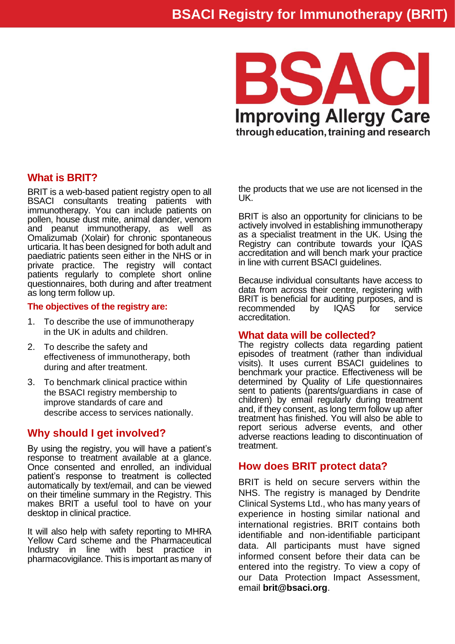

# **What is BRIT?**

BRIT is a web-based patient registry open to all BSACI consultants treating patients with immunotherapy. You can include patients on pollen, house dust mite, animal dander, venom and peanut immunotherapy, as well as Omalizumab (Xolair) for chronic spontaneous urticaria. It has been designed for both adult and paediatric patients seen either in the NHS or in private practice. The registry will contact patients regularly to complete short online questionnaires, both during and after treatment as long term follow up.

#### **The objectives of the registry are:**

- 1. To describe the use of immunotherapy in the UK in adults and children.
- 2. To describe the safety and effectiveness of immunotherapy, both during and after treatment.
- 3. To benchmark clinical practice within the BSACI registry membership to improve standards of care and describe access to services nationally.

# **Why should I get involved?**

By using the registry, you will have a patient's response to treatment available at a glance. Once consented and enrolled, an individual patient's response to treatment is collected automatically by text/email, and can be viewed on their timeline summary in the Registry. This makes BRIT a useful tool to have on your desktop in clinical practice.

It will also help with safety reporting to MHRA Yellow Card scheme and the Pharmaceutical Industry in line with best practice in pharmacovigilance. This is important as many of the products that we use are not licensed in the UK.

BRIT is also an opportunity for clinicians to be actively involved in establishing immunotherapy as a specialist treatment in the UK. Using the Registry can contribute towards your IQAS accreditation and will bench mark your practice in line with current BSACI guidelines.

Because individual consultants have access to data from across their centre, registering with BRIT is beneficial for auditing purposes, and is recommended by IQAS for service accreditation.

#### **What data will be collected?**

The registry collects data regarding patient episodes of treatment (rather than individual visits). It uses current BSACI guidelines to benchmark your practice. Effectiveness will be determined by Quality of Life questionnaires sent to patients (parents/guardians in case of children) by email regularly during treatment and, if they consent, as long term follow up after treatment has finished. You will also be able to report serious adverse events, and other adverse reactions leading to discontinuation of treatment.

### **How does BRIT protect data?**

BRIT is held on secure servers within the NHS. The registry is managed by Dendrite Clinical Systems Ltd., who has many years of experience in hosting similar national and international registries. BRIT contains both identifiable and non-identifiable participant data. All participants must have signed informed consent before their data can be entered into the registry. To view a copy of our Data Protection Impact Assessment, email **brit@bsaci.org**.